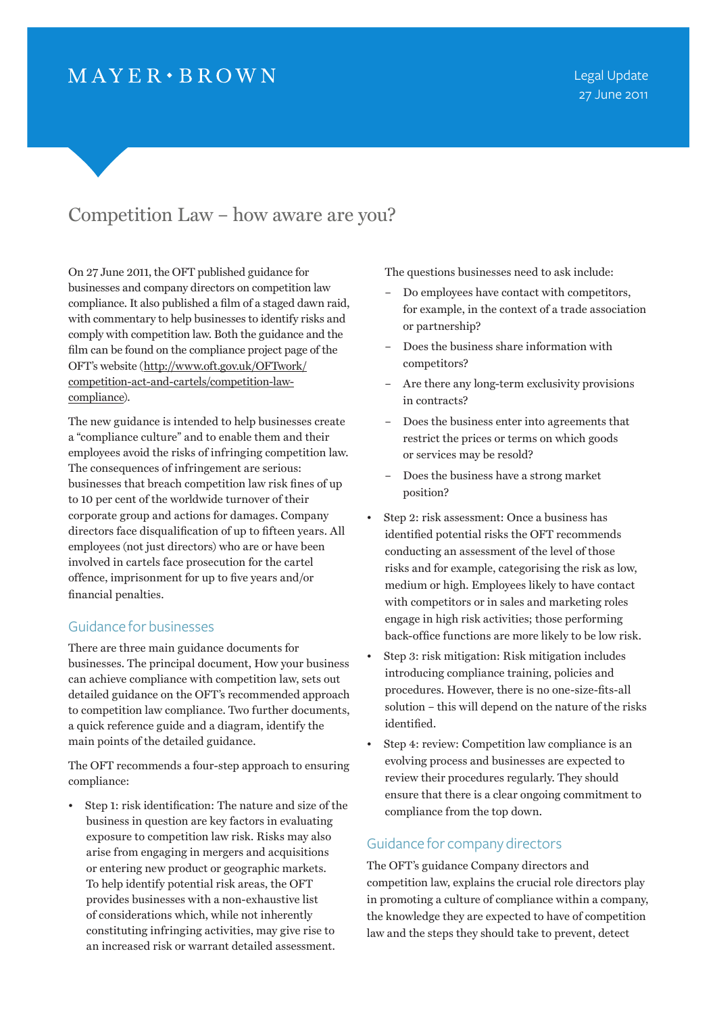# $MAYER \cdot BROWN$

## Competition Law – how aware are you?

On 27 June 2011, the OFT published guidance for businesses and company directors on competition law compliance. It also published a film of a staged dawn raid, with commentary to help businesses to identify risks and comply with competition law. Both the guidance and the film can be found on the compliance project page of the OFT's website (http://www.oft.gov.uk/OFTwork/ competition-act-and-cartels/competition-lawcompliance).

The new guidance is intended to help businesses create a "compliance culture" and to enable them and their employees avoid the risks of infringing competition law. The consequences of infringement are serious: businesses that breach competition law risk fines of up to 10 per cent of the worldwide turnover of their corporate group and actions for damages. Company directors face disqualification of up to fifteen years. All employees (not just directors) who are or have been involved in cartels face prosecution for the cartel offence, imprisonment for up to five years and/or financial penalties.

### Guidance for businesses

There are three main guidance documents for businesses. The principal document, How your business can achieve compliance with competition law, sets out detailed guidance on the OFT's recommended approach to competition law compliance. Two further documents, a quick reference guide and a diagram, identify the main points of the detailed guidance.

The OFT recommends a four-step approach to ensuring compliance:

Step 1: risk identification: The nature and size of the business in question are key factors in evaluating exposure to competition law risk. Risks may also arise from engaging in mergers and acquisitions or entering new product or geographic markets. To help identify potential risk areas, the OFT provides businesses with a non-exhaustive list of considerations which, while not inherently constituting infringing activities, may give rise to an increased risk or warrant detailed assessment.

The questions businesses need to ask include:

- Do employees have contact with competitors, for example, in the context of a trade association or partnership?
- Does the business share information with competitors?
- Are there any long-term exclusivity provisions in contracts?
- Does the business enter into agreements that restrict the prices or terms on which goods or services may be resold?
- Does the business have a strong market position?
- Step 2: risk assessment: Once a business has identified potential risks the OFT recommends conducting an assessment of the level of those risks and for example, categorising the risk as low, medium or high. Employees likely to have contact with competitors or in sales and marketing roles engage in high risk activities; those performing back-office functions are more likely to be low risk.
- Step 3: risk mitigation: Risk mitigation includes introducing compliance training, policies and procedures. However, there is no one-size-fits-all solution – this will depend on the nature of the risks identified.
- Step 4: review: Competition law compliance is an evolving process and businesses are expected to review their procedures regularly. They should ensure that there is a clear ongoing commitment to compliance from the top down.

## Guidance for company directors

The OFT's guidance Company directors and competition law, explains the crucial role directors play in promoting a culture of compliance within a company, the knowledge they are expected to have of competition law and the steps they should take to prevent, detect